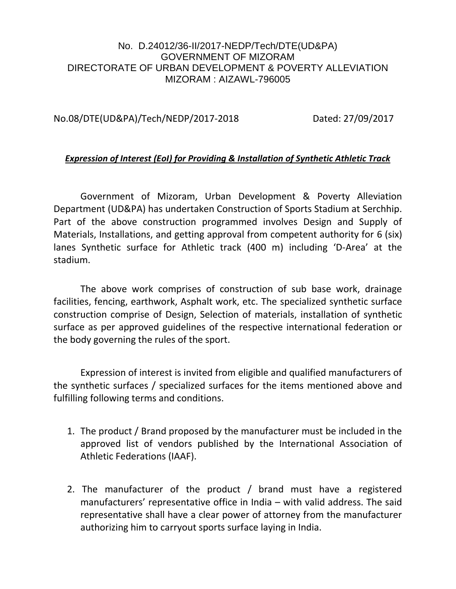## No. D.24012/36-II/2017-NEDP/Tech/DTE(UD&PA) GOVERNMENT OF MIZORAM DIRECTORATE OF URBAN DEVELOPMENT & POVERTY ALLEVIATION MIZORAM : AIZAWL-796005

## No.08/DTE(UD&PA)/Tech/NEDP/2017-2018 Dated: 27/09/2017

## *Expression of Interest (EoI) for Providing & Installation of Synthetic Athletic Track*

Government of Mizoram, Urban Development & Poverty Alleviation Department (UD&PA) has undertaken Construction of Sports Stadium at Serchhip. Part of the above construction programmed involves Design and Supply of Materials, Installations, and getting approval from competent authority for 6 (six) lanes Synthetic surface for Athletic track (400 m) including 'D-Area' at the stadium.

The above work comprises of construction of sub base work, drainage facilities, fencing, earthwork, Asphalt work, etc. The specialized synthetic surface construction comprise of Design, Selection of materials, installation of synthetic surface as per approved guidelines of the respective international federation or the body governing the rules of the sport.

Expression of interest is invited from eligible and qualified manufacturers of the synthetic surfaces / specialized surfaces for the items mentioned above and fulfilling following terms and conditions.

- 1. The product / Brand proposed by the manufacturer must be included in the approved list of vendors published by the International Association of Athletic Federations (IAAF).
- 2. The manufacturer of the product / brand must have a registered manufacturers' representative office in India – with valid address. The said representative shall have a clear power of attorney from the manufacturer authorizing him to carryout sports surface laying in India.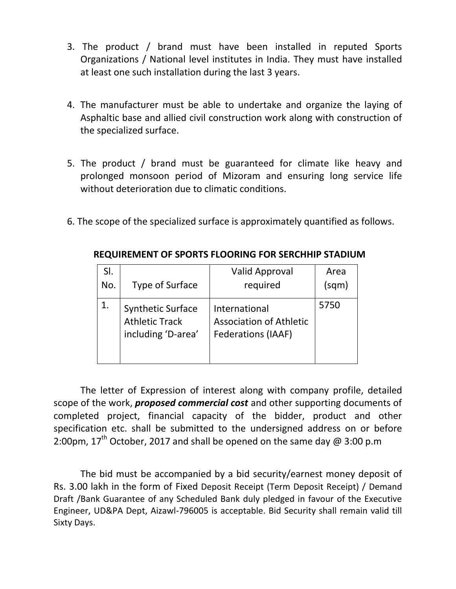- 3. The product / brand must have been installed in reputed Sports Organizations / National level institutes in India. They must have installed at least one such installation during the last 3 years.
- 4. The manufacturer must be able to undertake and organize the laying of Asphaltic base and allied civil construction work along with construction of the specialized surface.
- 5. The product / brand must be guaranteed for climate like heavy and prolonged monsoon period of Mizoram and ensuring long service life without deterioration due to climatic conditions.
- 6. The scope of the specialized surface is approximately quantified as follows.

| SI. |                                                                         | <b>Valid Approval</b>                                                        | Area  |
|-----|-------------------------------------------------------------------------|------------------------------------------------------------------------------|-------|
| No. | Type of Surface                                                         | required                                                                     | (sqm) |
|     | <b>Synthetic Surface</b><br><b>Athletic Track</b><br>including 'D-area' | International<br><b>Association of Athletic</b><br><b>Federations (IAAF)</b> | 5750  |

**REQUIREMENT OF SPORTS FLOORING FOR SERCHHIP STADIUM**

The letter of Expression of interest along with company profile, detailed scope of the work, *proposed commercial cost* and other supporting documents of completed project, financial capacity of the bidder, product and other specification etc. shall be submitted to the undersigned address on or before 2:00pm,  $17<sup>th</sup>$  October, 2017 and shall be opened on the same day @ 3:00 p.m

The bid must be accompanied by a bid security/earnest money deposit of Rs. 3.00 lakh in the form of Fixed Deposit Receipt (Term Deposit Receipt) / Demand Draft /Bank Guarantee of any Scheduled Bank duly pledged in favour of the Executive Engineer, UD&PA Dept, Aizawl-796005 is acceptable. Bid Security shall remain valid till Sixty Days.